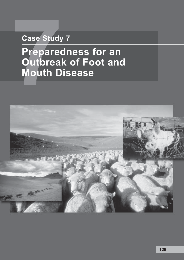# **Case Study 7**

# **Case Study<br>
Prepared<br>
Outbreal<br>
Mouth D Preparedness for an Outbreak of Foot and Mouth Disease**

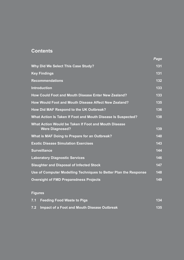# **Contents**

|                                                                                | Page |
|--------------------------------------------------------------------------------|------|
| <b>Why Did We Select This Case Study?</b>                                      | 131  |
| <b>Key Findings</b>                                                            | 131  |
| <b>Recommendations</b>                                                         | 132  |
| <b>Introduction</b>                                                            | 133  |
| How Could Foot and Mouth Disease Enter New Zealand?                            | 133  |
| How Would Foot and Mouth Disease Affect New Zealand?                           | 135  |
| How Did MAF Respond to the UK Outbreak?                                        | 136  |
| What Action Is Taken If Foot and Mouth Disease Is Suspected?                   | 138  |
| What Action Would be Taken If Foot and Mouth Disease<br><b>Were Diagnosed?</b> | 139  |
| What is MAF Doing to Prepare for an Outbreak?                                  | 140  |
| <b>Exotic Disease Simulation Exercises</b>                                     | 143  |
| <b>Surveillance</b>                                                            | 144  |
| <b>Laboratory Diagnostic Services</b>                                          | 146  |
| <b>Slaughter and Disposal of Infected Stock</b>                                | 147  |
| Use of Computer Modelling Techniques to Better Plan the Response               | 148  |
| <b>Oversight of FMD Preparedness Projects</b>                                  | 149  |

# **Figures**

| 7.1 Feeding Food Waste to Pigs                  | 134 |
|-------------------------------------------------|-----|
| 7.2 Impact of a Foot and Mouth Disease Outbreak | 135 |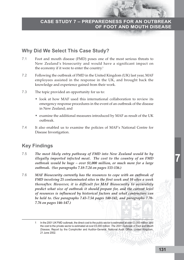# **Why Did We Select This Case Study?**

- 7.1 Foot and mouth disease (FMD) poses one of the most serious threats to New Zealand's biosecurity and would have a significant impact on the economy if it were to enter the country.<sup>1</sup>
- 7.2 Following the outbreak of FMD in the United Kingdom (UK) last year, MAF employees assisted in the response in the UK, and brought back the knowledge and experience gained from their work.
- 7.3 The topic provided an opportunity for us to:
	- look at how MAF used this international collaboration to review its emergency response procedures in the event of an outbreak of the disease in New Zealand; and
	- examine the additional measures introduced by MAF as result of the UK outbreak.
- 7.4 It also enabled us to examine the policies of MAF's National Centre for Disease Investigation.

# **Key Findings**

- 7.5 *The most likely entry pathway of FMD into New Zealand would be by illegally imported infected meat. The cost to the country of an FMD outbreak would be huge – over \$1,000 million, or much more for a large outbreak. (See paragraphs 7.18-7.24 on pages 133-136.)*
- 7.6 *MAF Biosecurity currently has the resources to cope with an outbreak of FMD involving 25 contaminated sites in the first week and 10 sites a week thereafter. However, it is difficult for MAF Biosecurity to accurately predict what size of outbreak it should prepare for, and the current level of resources is influenced by historical factors and what contractors can be held to. (See paragraphs 7.43-7.54 pages 140-142, and paragraphs 7.70- 7.76 on pages 146-147.)*

In the 2001 UK FMD outbreak, the direct cost to the public sector is estimated at over £3,000 million, and the cost to the private sector is estimated at over £5,000 million: *The 2001 Outbreak of Foot and Mouth Disease*, Report by the Comptroller and Auditor-General, National Audit Office, United Kingdom, 21 June 2002.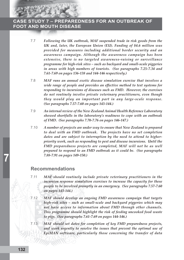- 7.7 *Following the UK outbreak, MAF suspended trade in risk goods from the UK and, later, the European Union (EU). Funding of \$4.6 million was provided for measures including additional border security and an awareness campaign. Although the awareness campaign has been extensive, there is no targeted awareness-raising or surveillance programme for high-risk sites – such as backyard and small-scale piggeries in areas with high numbers of tourists. (See paragraphs 7.25-7.34 and 7.61-7.69 on pages 136-138 and 144-146 respectively.)*
- 7.8 *MAF runs an annual exotic disease simulation exercise that involves a wide range of people and provides an effective method to test systems for responding to incursions of diseases such as FMD. However, the exercises do not routinely involve private veterinary practitioners, even though they would play an important part in any large-scale response. (See paragraphs 7.57-7.60 on pages 143-144.)*
- 7.9 *An internal review of the New Zealand Animal Health Reference Laboratory showed shortfalls in the laboratory's readiness to cope with an outbreak of FMD. (See paragraphs 7.70-7.76 on pages 146-147.)*
- 7.10 *A number of projects are under way to ensure that New Zealand is prepared to deal with an FMD outbreak. The projects have no set completion dates and are subject to interruption by the need to attend to higherpriority work, such as responding to pest and disease incursions. Until the FMD preparedness projects are completed, MAF will not be as well prepared to respond to an FMD outbreak as it could be. (See paragraphs 7.88-7.91 on pages 149-150.)*

# **Recommendations**

- 7.11 *MAF should routinely include private veterinary practitioners in the incursion response simulation exercises to increase the capacity for these people to be involved promptly in an emergency. (See paragraphs 7.57-7.60 on pages 143-144.)*
- 7.12 *MAF should develop an ongoing FMD awareness campaign that targets high-risk sites – such as small-scale and backyard piggeries which may not have access to information about FMD through other channels. This programme should highlight the risk of feeding uncooked food waste to pigs. (See paragraphs 7.61-7.69 on pages 144-146.)*
- 7.13 *MAF should set dates for completion of key FMD preparedness projects, and work urgently to resolve the issues that prevent the optimal use of EpiMAN software, particularly those concerning the transfer of data*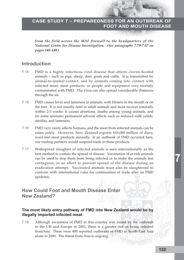*from the field across the MAF firewall to the headquarters of the National Centre for Disease Investigation. (See paragraphs 7.79-7.87 on pages 148-149.)*

# **Introduction**

- 7.14 FMD is a highly infectious viral disease that affects cloven-hoofed animals – such as pigs, sheep, deer, goats and cattle. It is transmitted by animal-to-animal contact, and by animals coming into contact with infected meat, meat products, or people and equipment very recently contaminated with FMD. The virus can also spread considerable distances through the air.
- 7.15 FMD causes fever and lameness in animals, with blisters in the mouth or on the feet. It is not usually fatal in adult animals and most recover naturally within 2-3 weeks. It causes abortions, deaths among young animals, and (in some animals) permanent adverse effects such as reduced milk yeilds, sterility, and lameness.
- 7.16 FMD very rarely affects humans, and the meat from infected animals can be eaten safely. However, New Zealand exports \$10,000 million of dairy, wool and meat products annually. If an outbreak of FMD occurred here, our trading partners would suspend trade in these products.
- 7.17 Widespread slaughter of infected animals is seen internationally as the best method to contain the spread of disease. Vaccination of at-risk animals can be used to stop them from being infected or to make the animals less contagious, in an effort to prevent spread of the disease during an eradication attempt. Vaccinated animals must also be slaughtered to conform with international rules for continuation of trade after an FMD epidemic.

# **How Could Foot and Mouth Disease Enter New Zealand?**

### **The most likely entry pathway of FMD into New Zealand would be by illegally imported infected meat.**

7.18 Although awareness of FMD in this country was raised by the outbreak in the UK and Europe in 2001, there is a greater risk of being infected fromAsia. There were 490 reported outbreaks of FMD in South East Asia alone in 2000. The threat from Asia is ongoing.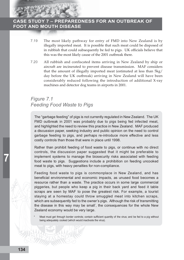

- 7.19 The most likely pathway for entry of FMD into New Zealand is by illegally imported meat. It is possible that such meat could be disposed of in rubbish that could subsequently be fed to pigs. UK officials believe that this was the most likely cause of the 2001 outbreak there.
- 7.20 All rubbish and confiscated items arriving in New Zealand by ship or aircraft are incinerated to prevent disease transmission. MAF considers that the amount of illegally imported meat (estimated at less than 5kg/ day before the UK outbreak) arriving in New Zealand will have been considerably reduced following the introduction of additional X-ray machines and detector dog teams in airports in 2001.

# *Figure 7.1 Feeding Food Waste to Pigs*

The "garbage feeding" of pigs is not currently regulated in New Zealand. The UK FMD outbreak in 2001 was probably due to pigs being fed infected meat, and highlighted the need to review this practice in New Zealand. MAF produced a discussion paper, seeking industry and public opinion on the need to control garbage feeding to pigs, and perhaps re-introduce more effective and less costly controls than those that were in place until 1998.

Rather than prohibit feeding of food waste to pigs, or continue with no direct controls, the discussion paper suggested that it might be preferable to implement systems to manage the biosecurity risks associated with feeding food waste to pigs. Suggestions include a prohibition on feeding uncooked meat to pigs, with heavy penalties for non-compliance.

Feeding food waste to pigs is commonplace in New Zealand, and has beneficial environmental and economic impacts, as unused food becomes a resource rather than a waste. The practice occurs in some large commercial piggeries, but people who keep a pig in their back yard and feed it table scraps are seen by MAF to pose the greatest risk. For example, a tourist staying at a homestay could throw smuggled meat into kitchen scraps, which are subsequently fed to the owner's pigs. Although the risk of transmitting the disease in this way may be small\* , the consequences for the whole New Zealand economy would be very large.

Meat must get through border controls; contain sufficient quantity of the virus; and be fed to a pig without being adequately cooked (which would inactivate the virus).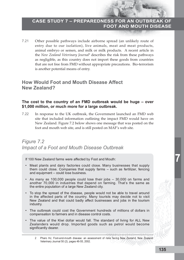7.21 Other possible pathways include airborne spread (an unlikely route of entry due to our isolation), live animals, meat and meat products, animal embryo or semen, and milk or milk products. A recent article in the *New Zealand Veterinary Journal*<sup>2</sup> describes the risk from these pathways as negligible, as this country does not import these goods from countries that are not free from FMD without appropriate precautions. Bio-terrorism is another potential means of entry.

# **How Would Foot and Mouth Disease Affect New Zealand?**

### **The cost to the country of an FMD outbreak would be huge – over \$1,000 million, or much more for a large outbreak.**

7.22 In response to the UK outbreak, the Government launched an FMD web site that included information outlining the impact FMD would have on New Zealand. Figure 7.2 below shows one message that was posted on the foot and mouth web site, and is still posted on MAF's web site.

# *Figure 7.2 Impact of a Foot and Mouth Disease Outbreak*

If 100 New Zealand farms were affected by Foot and Mouth:

- Meat plants and dairy factories could close. Many businesses that supply them could close. Companies that supply farms – such as fertilizer, fencing and equipment – could lose business.
- As many as 100,000 people could lose their jobs 30,000 on farms and another 70,000 in industries that depend on farming. That's the same as the entire population of a large New Zealand city.
- To stop the spread of the disease, people would not be able to travel around in the affected parts of the country. Many tourists may decide not to visit New Zealand and that could badly affect businesses and jobs in the tourism industry.
- The outbreak could cost the Government hundreds of millions of dollars in compensation to farmers and in disease control costs.
- The value of the Kiwi dollar would fall. The standard of living for ALL New Zealanders would drop. Imported goods such as petrol would become significantly dearer.

<sup>2</sup> Pharo HJ, Foot-and-mouth disease: an assessment of risks facing New Zealand, New Zealand Veterinary Journal 50 (2), pages 46-55, 2002.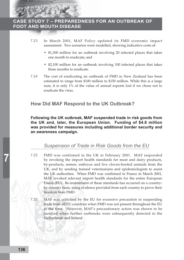

- 7.23 In March 2001, MAF Policy updated its FMD economic impact assessment. Two scenarios were modelled, showing indicative costs of:
	- \$1,300 million for an outbreak involving 20 infected places that takes one month to eradicate; and
	- \$2,100 million for an outbreak involving 100 infected places that takes three months to eradicate.
- 7.24 The cost of eradicating an outbreak of FMD in New Zealand has been estimated to range from \$100 million to \$150 million. While this is a large sum, it is only 1% of the value of annual exports lost if we chose not to eradicate the virus.

# **How Did MAF Respond to the UK Outbreak?**

**Following the UK outbreak, MAF suspended trade in risk goods from the UK and, later, the European Union. Funding of \$4.6 million was provided for measures including additional border security and an awareness campaign.**

# *Suspension of Trade in Risk Goods from the EU*

- 7.25 FMD was confirmed in the UK in February 2001. MAF responded by revoking the import health standards for meat and dairy products, by-products, semen, embryos and live cloven-hoofed animals from the UK, and by sending trained veterinarians and epidemiologists to assist the UK authorities. When FMD was confirmed in France in March 2001, MAF revoked relevant import health standards for the entire European Union (EU). Re-instatement of these standards has occurred on a countryby-country basis, using evidence provided from each country to prove their freedom from FMD.
- 7.26 MAF was criticised by the EU for excessive precaution in suspending trade from all EU countries when FMD was not present throughout the EU at the time. However, MAF's precautionary action was shown to be justified when further outbreaks were subsequently detected in the Netherlands and Ireland.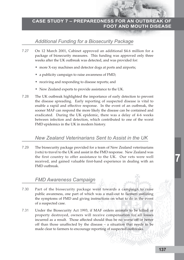# *Additional Funding for a Biosecurity Package*

- 7.27 On 12 March 2001, Cabinet approved an additional \$4.6 million for a package of biosecurity measures. This funding was approved only three weeks after the UK outbreak was detected, and was provided for:
	- more X-ray machines and detector dogs at ports and airports;
	- a publicity campaign to raise awareness of FMD;
	- receiving and responding to disease reports; and
	- New Zealand experts to provide assistance to the UK.
- 7.28 The UK outbreak highlighted the importance of early detection to prevent the disease spreading. Early reporting of suspected disease is vital to enable a rapid and effective response. In the event of an outbreak, the sooner MAF can respond the more likely the disease can be contained and eradicated. During the UK epidemic, there was a delay of 4-6 weeks between infection and detection, which contributed to one of the worst FMD epidemics in the UK in modern history.

# *New Zealand Veterinarians Sent to Assist in the UK*

7.29 The biosecurity package provided for a team of New Zealand veterinarians (vets) to travel to the UK and assist in the FMD response. New Zealand was the first country to offer assistance to the UK. Our vets were well received, and gained valuable first-hand experience in dealing with an FMD outbreak.

# *FMD Awareness Campaign*

- 7.30 Part of the biosecurity package went towards a campaign to raise public awareness, one part of which was a mail-out to farmers outlining the symptoms of FMD and giving instructions on what to do in the event of a suspected case.
- 7.31 Under the Biosecurity Act 1993, if MAF orders animals to be killed or property destroyed, owners will receive compensation for all losses incurred as a result. Those affected should thus be no worse off or better off than those unaffected by the disease – a situation that needs to be made clear to farmers to encourage reporting of suspected outbreaks.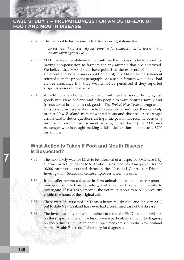

7.32 The mail-out to farmers included the following statement –

*Be assured, the Biosecurity Act provides for compensation for losses due to actions taken against FMD.*

- 7.33 MAF has a policy statement that outlines the process to be followed for paying compensation to farmers for any animals that are destroyed. We believe that MAF should have publicised the existence of this policy statement and how farmers could obtain it, in addition to the statement referred to in the previous paragraph. As a result, farmers would have had clearer assurance that they would not be penalised if they reported suspected cases of the disease.
- 7.34 An additional and ongoing campaign outlines the risks of bringing risk goods into New Zealand and asks people to warn visiting family and friends about bringing in risk goods. The *Protect New Zealand* programme aims to inform people about what biosecurity is and how they can help protect New Zealand from unwanted pests and diseases. A passenger arrival card includes questions asking if the person has recently been on a farm, or in an abattoir, or meat packing house. From June 2001, any passenger who is caught making a false declaration is liable to a \$200 instant fine.

# **What Action Is Taken If Foot and Mouth Disease Is Suspected?**

- 7.35 The most likely way for MAF to be informed of a suspected FMD case is by a farmer or vet calling the MAF Exotic Disease and Pest Emergency Hotline (0800 number) operated through the National Centre for Disease Investigation. Senior call centre employees screen the calls.
- 7.36 If the caller reports a disease in farm animals, an exotic disease response manager is called immediately, and a vet will travel to the site to investigate. If FMD is suspected, the vet must report to MAF Biosecurity within five hours of the original call.
- 7.37 There were 35 suspected FMD cases between July 2000 and January 2002, but to date New Zealand has never had a confirmed case of the disease.
- 7.38 The investigating vet must be trained to recognise FMD lesions or blisters on the suspect animals. The lesions were particularly difficult to diagnose on sheep during the UK epidemic. Specimens are sent to the New Zealand Animal Health Reference Laboratory for diagnosis.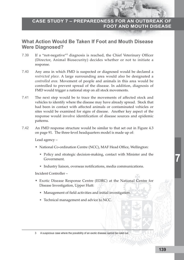# **What Action Would Be Taken If Foot and Mouth Disease Were Diagnosed?**

- 7.39 If a "not-negative"<sup>3</sup> diagnosis is reached, the Chief Veterinary Officer (Director, Animal Biosecurity) decides whether or not to initiate a response.
- 7.40 Any area in which FMD is suspected or diagnosed would be declared a *restricted place*. A large surrounding area would also be designated a *controlled area*. Movement of people and animals in this area would be controlled to prevent spread of the disease. In addition, diagnosis of FMD would trigger a national stop on all stock movements.
- 7.41 The next step would be to trace the movements of affected stock and vehicles to identify where the disease may have already spread. Stock that had been in contact with affected animals or contaminated vehicles or sites would be examined for signs of disease. Another key aspect of the response would involve identification of disease sources and epidemic patterns.
- 7.42 An FMD response structure would be similar to that set out in Figure 4.3 on page 91. The three-level headquarters model is made up of:

Lead agency –

- National Co-ordination Centre (NCC), MAF Head Office, Wellington:
	- Policy and strategic decision-making, contact with Minister and the Government.
	- Industry liaison, overseas notifications, media communications.

Incident Controller –

- Exotic Disease Response Centre (EDRC) at the National Centre for Disease Investigation, Upper Hutt:
	- Management of field activities and initial investigation.
	- Technical management and advice to NCC.

3 A suspicious case where the possibility of an exotic disease cannot be ruled out.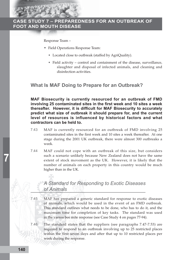

Response Team –

- Field Operations Response Team:
	- Located close to outbreak (staffed by AgriQuality).
	- Field activity control and containment of the disease, surveillance, slaughter and disposal of infected animals, and cleaning and disinfection activities.

# **What Is MAF Doing to Prepare for an Outbreak?**

**MAF Biosecurity is currently resourced for an outbreak of FMD involving 25 contaminated sites in the first week and 10 sites a week thereafter. However, it is difficult for MAF Biosecurity to accurately predict what size of outbreak it should prepare for, and the current level of resources is influenced by historical factors and what contractors can be held to.**

- 7.43 MAF is currently resourced for an outbreak of FMD involving 25 contaminated sites in the first week and 10 sites a week thereafter. At one stage during the 2001 UK outbreak, there were almost 300 outbreaks a week.
- 7.44 MAF could not cope with an outbreak of this size, but considers such a scenario unlikely because New Zealand does not have the same extent of stock movement as the UK. However, it is likely that the number of animals on each property in this country would be much higher than in the UK.

# *A Standard for Responding to Exotic Diseases of Animals*

- 7.45 MAF has prepared a generic standard for response to exotic diseases of animals, which would be used in the event of an FMD outbreak. This standard outlines what needs to be done, who has to do it, and the maximum time for completion of key tasks. The standard was used in the varroa bee mite response (see Case Study 4 on pages 77-94).
- 7.46 The standard states that the suppliers (see paragraphs 7.47-7.53) are required to respond to an outbreak involving up to 25 restricted places within the first seven days and after that up to 10 restricted places per week during the response.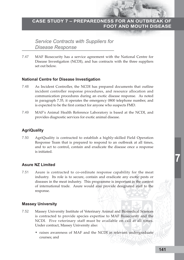*Service Contracts with Suppliers for Disease Response*

7.47 MAF Biosecurity has a service agreement with the National Centre for Disease Investigation (NCDI), and has contracts with the three suppliers set out below.

### **National Centre for Disease Investigation**

- 7.48 As Incident Controller, the NCDI has prepared documents that outline incident controller response procedures, and resource allocation and communication procedures during an exotic disease response. As noted in paragraph 7.35, it operates the emergency 0800 telephone number, and is expected to be the first contact for anyone who suspects FMD.
- 7.49 MAF's Animal Health Reference Laboratory is based at the NCDI, and provides diagnostic services for exotic animal disease.

### **AgriQuality**

7.50 AgriQuality is contracted to establish a highly-skilled Field Operation Response Team that is prepared to respond to an outbreak at all times, and to act to control, contain and eradicate the disease once a response is initiated.

### **Asure NZ Limited**

7.51 Asure is contracted to co-ordinate response capability for the meat industry. Its role is to secure, contain and eradicate any exotic pests or diseases in the meat industry. This programme is important in the context of international trade. Asure would also provide designated staff to the response.

### **Massey University**

- 7.52 Massey University Institute of Veterinary Animal and Biomedical Sciences is contracted to provide species expertise to MAF Biosecurity and the NCDI. Five veterinary staff must be available on call at all times. Under contract, Massey University also:
	- raises awareness of MAF and the NCDI in relevant undergraduate courses; and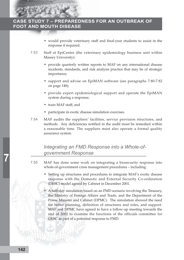- would provide veterinary staff and final-year students to assist in the response if required.
- 7.53 Staff at EpiCentre (the veterinary epidemiology business unit within Massey University):
	- provide quarterly written reports to MAF on any international disease incidents, standards, and risk analysis practice that may be of strategic importance;
	- support and advise on EpiMAN software (see paragraphs 7.80-7.82 on page 148);
	- provide expert epidemiological support and operate the EpiMAN system during a response;
	- train MAF staff; and
	- participate in exotic disease simulation exercises.
- 7.54 MAF audits the suppliers' facilities, service provision structures, and methods. Any deficiencies notified in the audit must be remedied within a reasonable time. The suppliers must also operate a formal quality assurance system.

# *Integrating an FMD Response into a Whole-ofgovernment Response*

- 7.55 MAF has done some work on integrating a biosecurity response into whole-of-government crisis management procedures – including:
	- Setting up structures and procedures to integrate MAF's exotic disease response with the Domestic and External Security Co-ordination (DESC) model agreed by Cabinet in December 2001.
	- A half-day simulation based on an FMD scenario involving the Treasury, the Ministry of Foreign Affairs and Trade, and the Department of the Prime Minister and Cabinet (DPMC). The simulation showed the need for better planning, definition of structures and roles, and support. MAF and DPMC have agreed to have a follow-up meeting towards the end of 2002 to examine the functions of the officials committee for DESC as part of a potential response to FMD.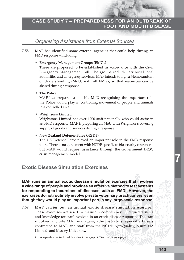# *Organising Assistance from External Sources*

7.56 MAF has identified some external agencies that could help during an FMD response – including:

### • **Emergency Management Groups (EMGs)**

These are proposed to be established in accordance with the Civil Emergency Management Bill. The groups include territorial local authorities and emergency services. MAF intends to sign a Memorandum of Understanding (MoU) with all EMGs, so that resources can be shared during a response.

### • **The Police**

MAF has prepared a specific MoU recognising the important role the Police would play in controlling movement of people and animals in a controlled area.

• **Wrightsons Limited**

Wrightsons Limited has over 1700 staff nationally who could assist in an FMD response. MAF is preparing an MoU with Wrightsons covering supply of goods and services during a response.

### • **New Zealand Defence Force (NZDF)**

The UK Defence Force played an important role in the FMD response there. There is no agreement with NZDF specific to biosecurity responses, but MAF would request assistance through the Government DESC crisis management model.

# **Exotic Disease Simulation Exercises**

**MAF runs an annual exotic disease simulation exercise that involves a wide range of people and provides an effective method to test systems for responding to incursions of diseases such as FMD. However, the exercises do not routinely involve private veterinary practitioners, even though they would play an important part in any large-scale response.**

7.57 MAF carries out an annual exotic disease simulation exercise.4 These exercises are used to maintain competency in required skills and knowledge for staff involved in an exotic disease response. The staff involved include MAF managers, administrators, special advisers contracted to MAF, and staff from the NCDI, AgriQuality, Asure NZ Limited, and Massey University.

<sup>4</sup> A separate exercise to that described in paragraph 7.55 on the opposite page.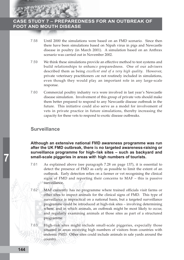

- 7.58 Until 2000 the simulations were based on an FMD scenario. Since then there have been simulations based on Nipah virus in pigs and Newcastle disease in poultry (in March 2001). A simulation based on an Anthrax scenario was carried out in November 2002.
- 7.59 We think these simulations provide an effective method to test systems and build relationships to enhance preparedness. One of our advisers described them as being *excellent and of a very high quality*. However, private veterinary practitioners are not routinely included in simulations, even though they would play an important role in any large-scale response.
- 7.60 Commercial poultry industry vets were involved in last year's Newcastle disease simulation. Involvement of this group of private vets should make them better prepared to respond to any Newcastle disease outbreak in the future. This initiative could also serve as a model for involvement of vets in private practice in future simulations, thereby increasing the capacity for these vets to respond to exotic disease outbreaks.

# **Surveillance**

### **Although an extensive national FMD awareness programme was run after the UK FMD outbreak, there is no targeted awareness-raising or surveillance programme for high-risk sites – such as backyard and small-scale piggeries in areas with high numbers of tourists.**

- 7.61 As explained above (see paragraph 7.28 on page 137), it is essential to detect the presence of FMD as early as possible to limit the extent of an outbreak. Early detection relies on a farmer or vet recognising the clinical signs of FMD and reporting their concerns to MAF – this is passive surveillance.
- 7.62 MAF currently has no programme where trained officials visit farms or other sites to inspect animals for the clinical signs of FMD. This type of surveillance is impractical on a national basis, but a targeted surveillance programme could be introduced at high-risk sites – involving determining where, and in which animals, an outbreak might be most likely to occur, and regularly examining animals at those sites as part of a structured programme.
- 7.63 High-risk sites might include small-scale piggeries, expecially those situated in areas receiving high numbers of visitors from countries with endemic FMD. Other sites could include animals in sale yards around the country.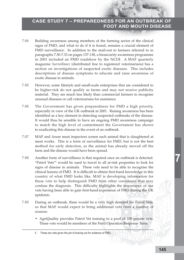- 7.64 Building awareness among members of the farming sector of the clinical signs of FMD, and what to do if it is found, remains a crucial element of FMD surveillance. In addition to the mail-out to farmers referred to in paragraphs 7.30-7.33 on pages 137-138, a biosecurity awareness programme in 2001 included an FMD roadshow by the NCDI. A MAF quarterly magazine *Surveillance* (distributed free to registered veterinarians) has a section on investigations of suspected exotic diseases. This includes descriptions of disease symptoms to educate and raise awareness of exotic disease in animals.
- 7.65 However, some lifestyle and small-scale enterprises that are considered to be higher-risk do not qualify as farms and may not receive publicity material. They are much less likely than commercial farmers to recognise unusual diseases or call veterinarians for assistance.
- 7.66 The Government has given preparedness for FMD a high priority, especially in view of the UK outbreak in 2001. Raising awareness has been identified as a key element in detecting suspected outbreaks of the disease. It would thus be sensible to have an ongoing FMD awareness campaign to match the high level of commitment the Government has shown to eradicating this disease in the event of an outbreak.
- 7.67 MAF and Asure meat inspectors screen each animal that is slaughtered at meat works. This is a form of surveillance for FMD, but is not the best method for early detection, as the animal has already moved off the farm and the disease would have been spread.
- 7.68 Another form of surveillance is that required once an outbreak is detected. "Patrol Vets"<sup>5</sup> would be used to travel to all at-risk properties to look for signs of disease in animals. These vets need to be able to recognise the clinical lesions of FMD. It is difficult to obtain first-hand knowledge in this country of what FMD looks like. MAF is developing information for these vets to help distinguish FMD from other conditions that may confuse the diagnosis. This difficulty highlights the importance of our vets having been able to gain first-hand experience of FMD during the UK epidemic.
- 7.69 During an outbreak, there would be a very high demand for Patrol Vets, so that MAF would expect to bring additional vets from a number of sources:
	- AgriQuality provides Patrol Vet training to a pool of 100 private vets. These vets would be members of the Field Operation Response Team.

**7**

<sup>5</sup> These are vets given the job of looking out for evidence of FMD.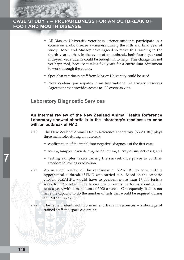

- All Massey University veterinary science students participate in a course on exotic disease awareness during the fifth and final year of study. MAF and Massey have agreed to move this training to the fourth year so that, in the event of an outbreak, both fourth-year and fifth-year vet students could be brought in to help. This change has not yet happened, because it takes five years for a curriculum adjustment to work through the course.
- Specialist veterinary staff from Massey University could be used.
- New Zealand participates in an International Veterinary Reserves Agreement that provides access to 100 overseas vets.

# **Laboratory Diagnostic Services**

### **An internal review of the New Zealand Animal Health Reference Laboratory showed shortfalls in the laboratory's readiness to cope with an outbreak of FMD.**

- 7.70 The New Zealand Animal Health Reference Laboratory (NZAHRL) plays three main roles during an outbreak:
	- confirmation of the initial "not-negative" diagnosis of the first case;
	- testing samples taken during the delimiting survey of suspect cases; and
	- testing samples taken during the surveillance phase to confirm freedom following eradication.
- 7.71 An internal review of the readiness of NZAHRL to cope with a hypothetical outbreak of FMD was carried out. Based on the scenario chosen, NZAHRL would have to perform more than 17,000 tests a week for 17 weeks. The laboratory currently performs about 30,000 tests a year, with a maximum of 5000 a week. Consequently, it does not have the capacity to do the number of tests that would be required during an FMD outbreak.
- 7.72 The review identified two main shortfalls in resources a shortage of trained staff and space constraints.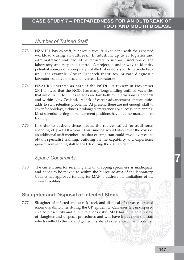# *Number of Trained Staff*

- 7.73 NZAHRL has 26 staff, but would require 43 to cope with the expected workload during an outbreak. In addition, up to 20 logistics and administration staff would be required to support functions of the laboratory and response centre. A project is under way to identify potential sources of appropriately skilled laboratory staff to provide back up – for example, Crown Research Institutes, private diagnostic laboratories, universities, and overseas laboratories.
- 7.74 NZAHRL operates as part of the NCDI. A review in November 2001 showed that the NCDI has many longstanding unfilled vacancies that are difficult to fill, as salaries are low both by international standards and within New Zealand. A lack of career advancement opportunities adds to staff retention problems. At present, there are not enough staff to cover for holidays, sickness, prolonged emergencies or succession planning. Most scientists acting in management positions have had no management training.
- 7.75 In order to address these issues, the review called for additional spending of \$540,000 a year. This funding would also cover the costs of an additional staff member – so that existing staff could travel overseas to obtain specialist training, building on the capability and experience gained from sending staff to the UK during the 2001 epidemic.

### *Space Constraints*

7.76 The current area for receiving and unwrapping specimens is inadequate, and needs to be moved to within the biosecure area of the laboratory. Cabinet has approved funding for MAF to address the limitations of the current facilities.

# **Slaughter and Disposal of Infected Stock**

7.77 Slaughter of infected and at-risk stock and disposal of carcasses created enormous difficulties during the UK epidemic. Carcasses left undisposed created biosecurity and public relations risks. MAF has initiated a review of slaughter and disposal procedures and will have input from the staff who travelled to the UK and gained first-hand experience of the problems.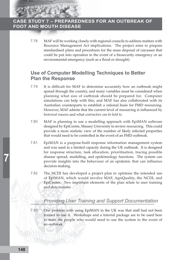

7.78 MAF will be working closely with regional councils to address matters with Resource Management Act implications. The project aims to prepare standardised plans and procedures for the mass disposal of carcasses that could be put into operation in the event of a biosecurity emergency or an environmental emergency (such as a flood or drought).

# **Use of Computer Modelling Techniques to Better Plan the Response**

- 7.79 It is difficult for MAF to determine accurately how an outbreak might spread through the country, and many variables must be considered when planning what size of outbreak should be prepared for. Computer simulations can help with this, and MAF has also collaborated with its Australian counterparts to establish a rational basis for FMD resourcing. However, MAF admits that the current level of resourcing is influenced by *historical reasons* and what *contractors can be held to*.
- 7.80 MAF is planning to use a modelling approach with EpiMAN software designed by EpiCentre, Massey University to review resourcing. This could provide a more realistic view of the number of likely infected properties that would need to be controlled in the event of an FMD outbreak.
- 7.81 EpiMAN is a purpose-built response information management system and was used in a limited capacity during the UK outbreak. It is designed for response structure, task allocation, prioritisation, tracing possible disease spread, modelling, and epidemiology functions. The system can provide insights into the behaviour of an epidemic that can influence decision-making.
- 7.82 The NCDI has developed a project plan to optimise the intended use of EpiMAN, which would involve MAF, AgriQuality, the NCDI, and EpiCentre. Two important elements of the plan relate to user training and data transfer.

# *Providing User Training and Support Documentation*

7.83 One problem with using EpiMAN in the UK was that staff had not been trained to use it. Workshops and a tutorial package are to be used here to train the people who would need to use the system in the event of an outbreak.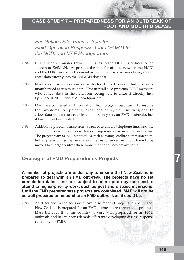# *Facilitating Data Transfer from the Field Operation Response Team (FORT) to the NCDI and MAF Headquarters*

- 7.84 Efficient data transfer from FORT sites to the NCDI is critical to the success of EpiMAN. At present, the transfer of data between the NCDI and the FORT would be by e-mail or fax rather than by users being able to enter data directly into the EpiMAN database.
- 7.85 MAF's computer system is protected by a firewall that prevents unauthorised access to its data. This firewall also prevents FORT members who collect data in the field from being able to enter it directly into EpiMAN at NCDI and MAF headquarters.
- 7.86 MAF has convened an Information Technology project team to resolve the problems. At present, MAF has an agreement designed to allow data transfer to occur in an emergency (i.e. an FMD outbreak), but it has not yet been tested.
- 7.87 Additional problems arise from a lack of available telephone lines and the capability to install additional lines during a response in some rural areas. The project team is looking at issues such as using satellite communication, but at present in some rural areas the response centre might have to be moved to a larger centre where more telephone lines are available.

# **Oversight of FMD Preparedness Projects**

**A number of projects are under way to ensure that New Zealand is prepared to deal with an FMD outbreak. The projects have no set completion dates, and are subject to interruption by the need to attend to higher-priority work, such as pest and disease incursions. Until the FMD preparedness projects are completed, MAF will not be as well prepared to respond to an FMD outbreak as it could be.**

7.88 As described in the sections above, a number of projects to ensure that New Zealand is prepared for an FMD outbreak are currently in progress. MAF believes that this country is very well prepared for an FMD outbreak, and has put considerable effort into developing disease response capability for FMD.